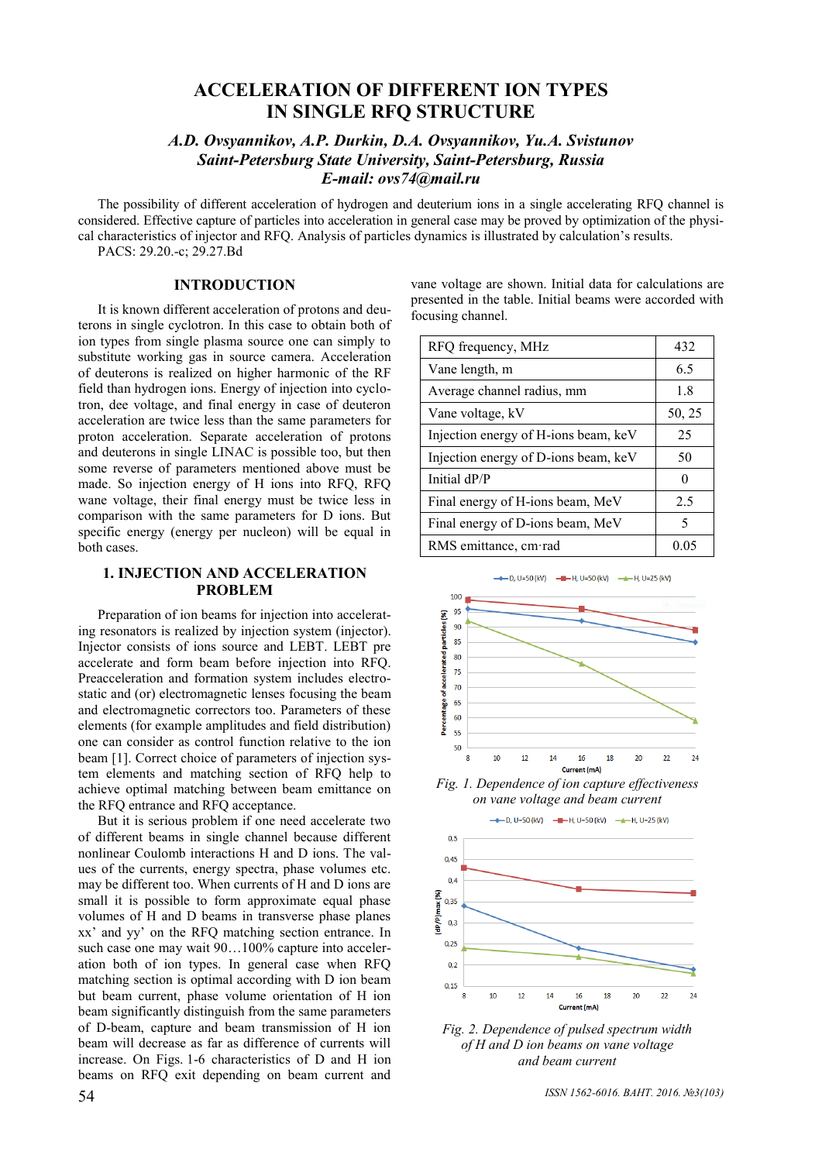# **ACCELERATION OF DIFFERENT ION TYPES IN SINGLE RFQ STRUCTURE**

# *A.D. Ovsyannikov, A.P. Durkin, D.A. Ovsyannikov, Yu.A. Svistunov Saint-Petersburg State University, Saint-Petersburg, Russia E-mail: ovs74@mail.ru*

The possibility of different acceleration of hydrogen and deuterium ions in a single accelerating RFQ channel is considered. Effective capture of particles into acceleration in general case may be proved by optimization of the physical characteristics of injector and RFQ. Analysis of particles dynamics is illustrated by calculation's results. PACS: 29.20.-c; 29.27.Bd

# **INTRODUCTION**

It is known different acceleration of protons and deuterons in single cyclotron. In this case to obtain both of ion types from single plasma source one can simply to substitute working gas in source camera. Acceleration of deuterons is realized on higher harmonic of the RF field than hydrogen ions. Energy of injection into cyclotron, dee voltage, and final energy in case of deuteron acceleration are twice less than the same parameters for proton acceleration. Separate acceleration of protons and deuterons in single LINAC is possible too, but then some reverse of parameters mentioned above must be made. So injection energy of H ions into RFQ, RFQ wane voltage, their final energy must be twice less in comparison with the same parameters for D ions. But specific energy (energy per nucleon) will be equal in both cases.

### **1. INJECTION AND ACCELERATION PROBLEM**

Preparation of ion beams for injection into accelerating resonators is realized by injection system (injector). Injector consists of ions source and LEBT. LEBT pre accelerate and form beam before injection into RFQ. Preacceleration and formation system includes electrostatic and (or) electromagnetic lenses focusing the beam and electromagnetic correctors too. Parameters of these elements (for example amplitudes and field distribution) one can consider as control function relative to the ion beam [1]. Correct choice of parameters of injection system elements and matching section of RFQ help to achieve optimal matching between beam emittance on the RFQ entrance and RFQ acceptance.

But it is serious problem if one need accelerate two of different beams in single channel because different nonlinear Coulomb interactions H and D ions. The values of the currents, energy spectra, phase volumes etc. may be different too. When currents of H and D ions are small it is possible to form approximate equal phase volumes of H and D beams in transverse phase planes xx' and yy' on the RFQ matching section entrance. In such case one may wait  $90...100\%$  capture into acceleration both of ion types. In general case when RFQ matching section is optimal according with D ion beam but beam current, phase volume orientation of H ion beam significantly distinguish from the same parameters of D-beam, capture and beam transmission of H ion beam will decrease as far as difference of currents will increase. On Figs. 1-6 characteristics of D and H ion beams on RFQ exit depending on beam current and

vane voltage are shown. Initial data for calculations are presented in the table. Initial beams were accorded with focusing channel.

| RFQ frequency, MHz                   | 432               |
|--------------------------------------|-------------------|
| Vane length, m                       | 6.5               |
| Average channel radius, mm           | 18                |
| Vane voltage, kV                     | 50, 25            |
| Injection energy of H-ions beam, keV | 25                |
| Injection energy of D-ions beam, keV | 50                |
| Initial dP/P                         | $\mathbf{\Omega}$ |
| Final energy of H-ions beam, MeV     | 2.5               |
| Final energy of D-ions beam, MeV     | 5                 |
| RMS emittance, cm rad                | 0.05              |



-D, U=50 (kV) - - H, U=50 (kV) - + H, U=25 (kV)

*Fig. 1. Dependence of ion capture effectiveness on vane voltage and beam current*







*ISSN 1562-6016. ВАНТ. 2016. №3(103)* 54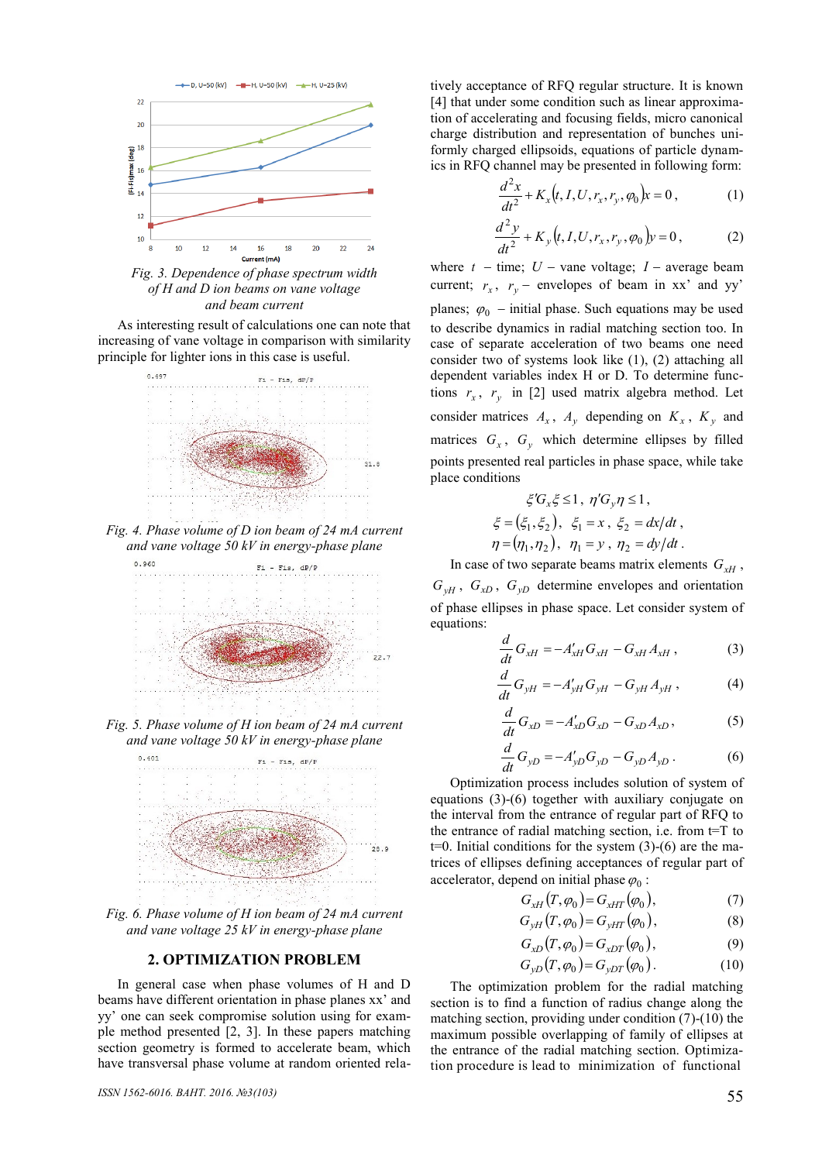

*Fig. 3. Dependence of phase spectrum width of H and D ion beams on vane voltage and beam current*

As interesting result of calculations one can note that increasing of vane voltage in comparison with similarity principle for lighter ions in this case is useful.



*Fig. 4. Phase volume of D ion beam of 24 mA current and vane voltage 50 kV in energy-phase plane* 



*Fig. 5. Phase volume of H ion beam of 24 mA current and vane voltage 50 kV in energy-phase plane*



*Fig. 6. Phase volume of H ion beam of 24 mA current and vane voltage 25 kV in energy-phase plane*

#### **2. OPTIMIZATION PROBLEM**

In general case when phase volumes of H and D beams have different orientation in phase planes xx' and yy' one can seek compromise solution using for example method presented [2, 3]. In these papers matching section geometry is formed to accelerate beam, which have transversal phase volume at random oriented relatively acceptance of RFQ regular structure. It is known [4] that under some condition such as linear approximation of accelerating and focusing fields, micro canonical charge distribution and representation of bunches uniformly charged ellipsoids, equations of particle dynamics in RFQ channel may be presented in following form:

$$
\frac{d^2x}{dt^2} + K_x(t, I, U, r_x, r_y, \varphi_0) x = 0, \qquad (1)
$$

$$
\frac{d^2y}{dt^2} + K_y(t, I, U, r_x, r_y, \varphi_0)y = 0, \qquad (2)
$$

where  $t - \text{time}$ ;  $U - \text{vanevoltage}$ ;  $I - \text{average beam}$ current;  $r_x$ ,  $r_y$  – envelopes of beam in xx' and yy' planes;  $\varphi_0$  – initial phase. Such equations may be used to describe dynamics in radial matching section too. In case of separate acceleration of two beams one need consider two of systems look like (1), (2) attaching all dependent variables index H or D. To determine functions  $r_x$ ,  $r_y$  in [2] used matrix algebra method. Let consider matrices  $A_x$ ,  $A_y$  depending on  $K_x$ ,  $K_y$  and matrices  $G_x$ ,  $G_y$  which determine ellipses by filled points presented real particles in phase space, while take place conditions

$$
\xi'G_x\xi \le 1, \ \eta'G_y\eta \le 1,\n\xi = (\xi_1, \xi_2), \ \xi_1 = x, \ \xi_2 = dx/dt,\n\eta = (\eta_1, \eta_2), \ \eta_1 = y, \ \eta_2 = dy/dt.
$$

In case of two separate beams matrix elements  $G_{xH}$ ,  $G_{yH}$ ,  $G_{xD}$ ,  $G_{yD}$  determine envelopes and orientation of phase ellipses in phase space. Let consider system of equations:

$$
\frac{d}{dt}G_{xH} = -A'_{xH}G_{xH} - G_{xH}A_{xH},
$$
\n(3)

$$
\frac{d}{dt}G_{yH} = -A'_{yH}G_{yH} - G_{yH}A_{yH},
$$
\t(4)

$$
\frac{d}{dt}G_{xD} = -A'_{xD}G_{xD} - G_{xD}A_{xD},
$$
\n(5)

$$
\frac{d}{dt}G_{yD} = -A'_{yD}G_{yD} - G_{yD}A_{yD}.
$$
 (6)

Optimization process includes solution of system of equations (3)-(6) together with auxiliary conjugate on the interval from the entrance of regular part of RFQ to the entrance of radial matching section, i.e. from t=T to  $t=0$ . Initial conditions for the system  $(3)-(6)$  are the matrices of ellipses defining acceptances of regular part of accelerator, depend on initial phase  $\varphi_0$ :

$$
G_{xH}(T,\varphi_0) = G_{xHT}(\varphi_0),\tag{7}
$$

$$
G_{yH}(T,\varphi_0) = G_{yHT}(\varphi_0), \qquad (8)
$$

$$
G_{xD}(T,\varphi_0) = G_{xDT}(\varphi_0),\tag{9}
$$

$$
G_{yD}(T,\varphi_0) = G_{yDT}(\varphi_0). \tag{10}
$$

The optimization problem for the radial matching section is to find a function of radius change along the matching section, providing under condition (7)-(10) the maximum possible overlapping of family of ellipses at the entrance of the radial matching section. Optimization procedure is lead to minimization of functional